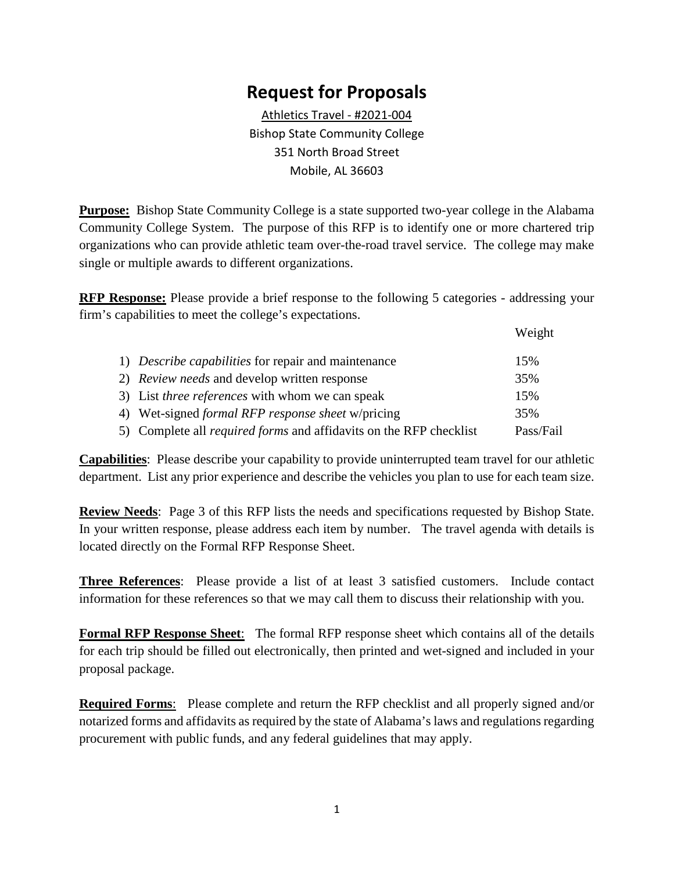## **Request for Proposals**

Athletics Travel - #2021-004 Bishop State Community College 351 North Broad Street Mobile, AL 36603

**Purpose:** Bishop State Community College is a state supported two-year college in the Alabama Community College System. The purpose of this RFP is to identify one or more chartered trip organizations who can provide athletic team over-the-road travel service. The college may make single or multiple awards to different organizations.

**RFP Response:** Please provide a brief response to the following 5 categories - addressing your firm's capabilities to meet the college's expectations.

|                                                                           | Weight    |
|---------------------------------------------------------------------------|-----------|
| 1) Describe capabilities for repair and maintenance                       | 15%       |
| 2) <i>Review needs</i> and develop written response                       | 35%       |
| 3) List <i>three references</i> with whom we can speak                    | 15%       |
| 4) Wet-signed <i>formal RFP response sheet</i> w/pricing                  | 35%       |
| 5) Complete all <i>required forms</i> and affidavits on the RFP checklist | Pass/Fail |

**Capabilities**: Please describe your capability to provide uninterrupted team travel for our athletic department. List any prior experience and describe the vehicles you plan to use for each team size.

**Review Needs**: Page 3 of this RFP lists the needs and specifications requested by Bishop State. In your written response, please address each item by number. The travel agenda with details is located directly on the Formal RFP Response Sheet.

**Three References**: Please provide a list of at least 3 satisfied customers. Include contact information for these references so that we may call them to discuss their relationship with you.

**Formal RFP Response Sheet**: The formal RFP response sheet which contains all of the details for each trip should be filled out electronically, then printed and wet-signed and included in your proposal package.

**Required Forms**: Please complete and return the RFP checklist and all properly signed and/or notarized forms and affidavits as required by the state of Alabama's laws and regulations regarding procurement with public funds, and any federal guidelines that may apply.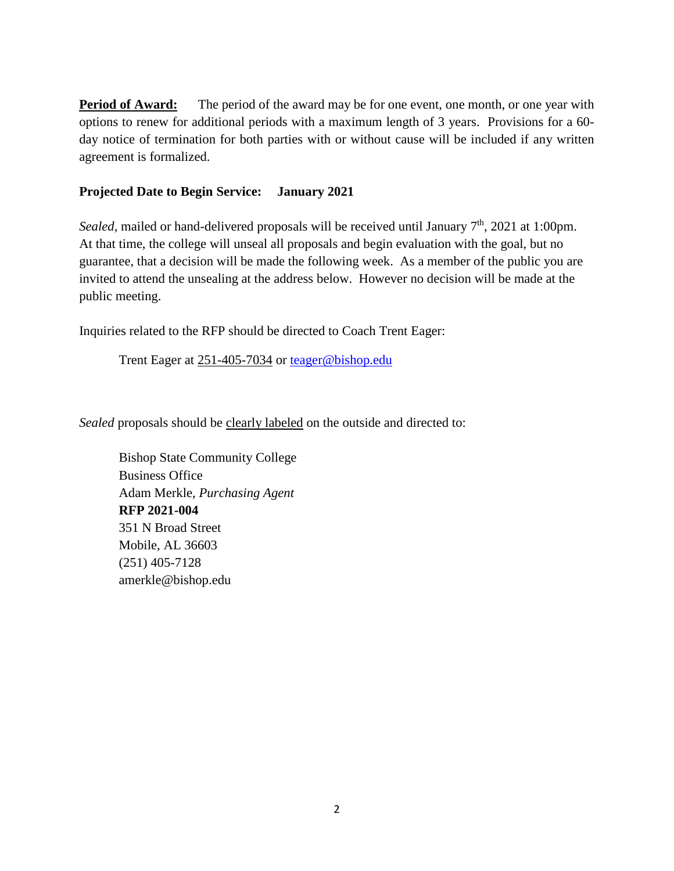**Period of Award:** The period of the award may be for one event, one month, or one year with options to renew for additional periods with a maximum length of 3 years. Provisions for a 60 day notice of termination for both parties with or without cause will be included if any written agreement is formalized.

### **Projected Date to Begin Service: January 2021**

*Sealed*, mailed or hand-delivered proposals will be received until January 7<sup>th</sup>, 2021 at 1:00pm. At that time, the college will unseal all proposals and begin evaluation with the goal, but no guarantee, that a decision will be made the following week. As a member of the public you are invited to attend the unsealing at the address below. However no decision will be made at the public meeting.

Inquiries related to the RFP should be directed to Coach Trent Eager:

Trent Eager at 251-405-7034 or [teager@bishop.edu](mailto:teager@bishop.edu)

*Sealed* proposals should be clearly labeled on the outside and directed to:

Bishop State Community College Business Office Adam Merkle, *Purchasing Agent* **RFP 2021-004** 351 N Broad Street Mobile, AL 36603 (251) 405-7128 amerkle@bishop.edu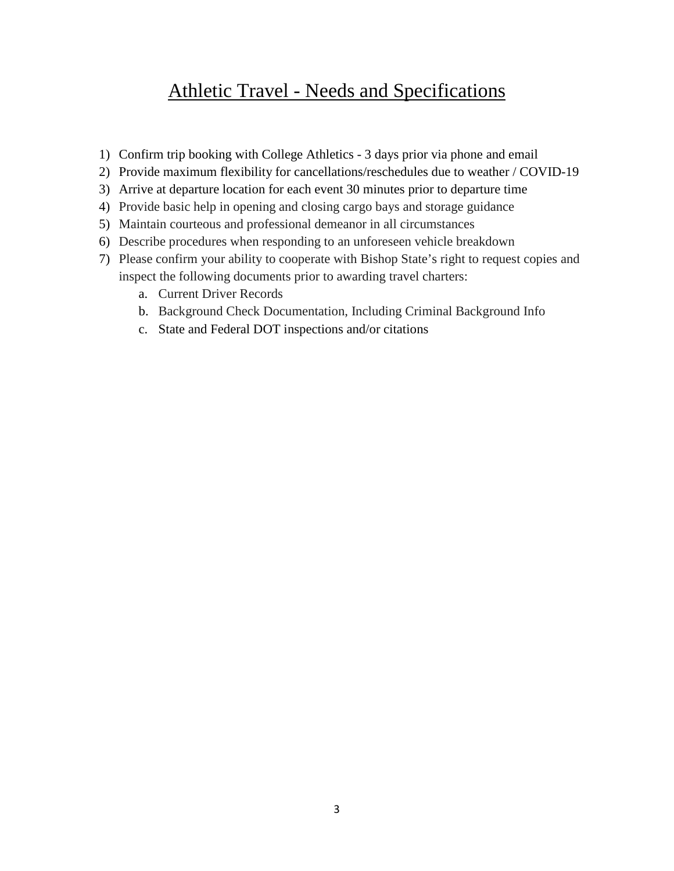# Athletic Travel - Needs and Specifications

- 1) Confirm trip booking with College Athletics 3 days prior via phone and email
- 2) Provide maximum flexibility for cancellations/reschedules due to weather / COVID-19
- 3) Arrive at departure location for each event 30 minutes prior to departure time
- 4) Provide basic help in opening and closing cargo bays and storage guidance
- 5) Maintain courteous and professional demeanor in all circumstances
- 6) Describe procedures when responding to an unforeseen vehicle breakdown
- 7) Please confirm your ability to cooperate with Bishop State's right to request copies and inspect the following documents prior to awarding travel charters:
	- a. Current Driver Records
	- b. Background Check Documentation, Including Criminal Background Info
	- c. State and Federal DOT inspections and/or citations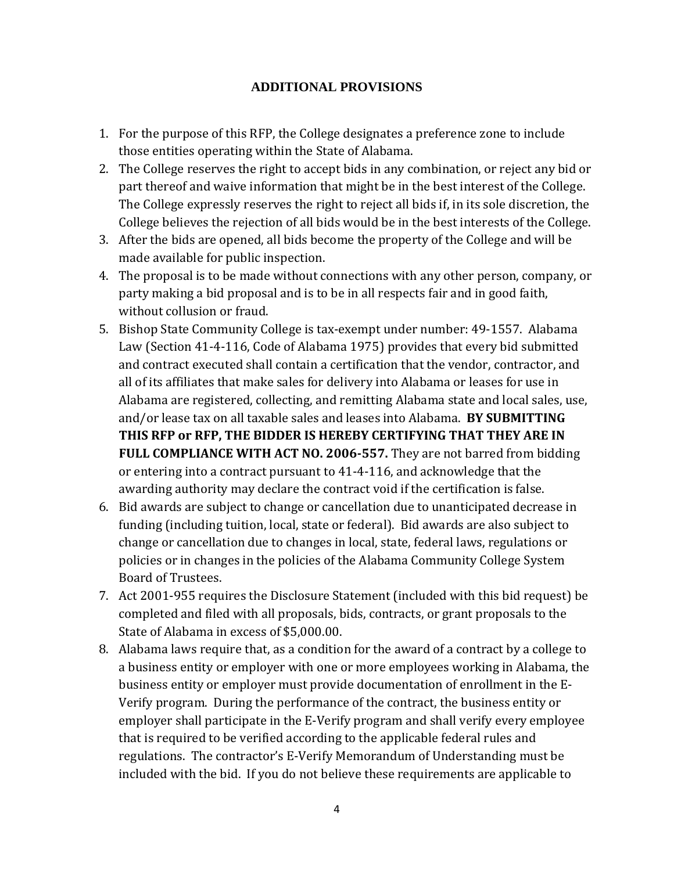### **ADDITIONAL PROVISIONS**

- 1. For the purpose of this RFP, the College designates a preference zone to include those entities operating within the State of Alabama.
- 2. The College reserves the right to accept bids in any combination, or reject any bid or part thereof and waive information that might be in the best interest of the College. The College expressly reserves the right to reject all bids if, in its sole discretion, the College believes the rejection of all bids would be in the best interests of the College.
- 3. After the bids are opened, all bids become the property of the College and will be made available for public inspection.
- 4. The proposal is to be made without connections with any other person, company, or party making a bid proposal and is to be in all respects fair and in good faith, without collusion or fraud.
- 5. Bishop State Community College is tax-exempt under number: 49-1557. Alabama Law (Section 41-4-116, Code of Alabama 1975) provides that every bid submitted and contract executed shall contain a certification that the vendor, contractor, and all of its affiliates that make sales for delivery into Alabama or leases for use in Alabama are registered, collecting, and remitting Alabama state and local sales, use, and/or lease tax on all taxable sales and leases into Alabama. **BY SUBMITTING THIS RFP or RFP, THE BIDDER IS HEREBY CERTIFYING THAT THEY ARE IN FULL COMPLIANCE WITH ACT NO. 2006-557.** They are not barred from bidding or entering into a contract pursuant to 41-4-116, and acknowledge that the awarding authority may declare the contract void if the certification is false.
- 6. Bid awards are subject to change or cancellation due to unanticipated decrease in funding (including tuition, local, state or federal). Bid awards are also subject to change or cancellation due to changes in local, state, federal laws, regulations or policies or in changes in the policies of the Alabama Community College System Board of Trustees.
- 7. Act 2001-955 requires the Disclosure Statement (included with this bid request) be completed and filed with all proposals, bids, contracts, or grant proposals to the State of Alabama in excess of \$5,000.00.
- 8. Alabama laws require that, as a condition for the award of a contract by a college to a business entity or employer with one or more employees working in Alabama, the business entity or employer must provide documentation of enrollment in the E-Verify program. During the performance of the contract, the business entity or employer shall participate in the E-Verify program and shall verify every employee that is required to be verified according to the applicable federal rules and regulations. The contractor's E-Verify Memorandum of Understanding must be included with the bid. If you do not believe these requirements are applicable to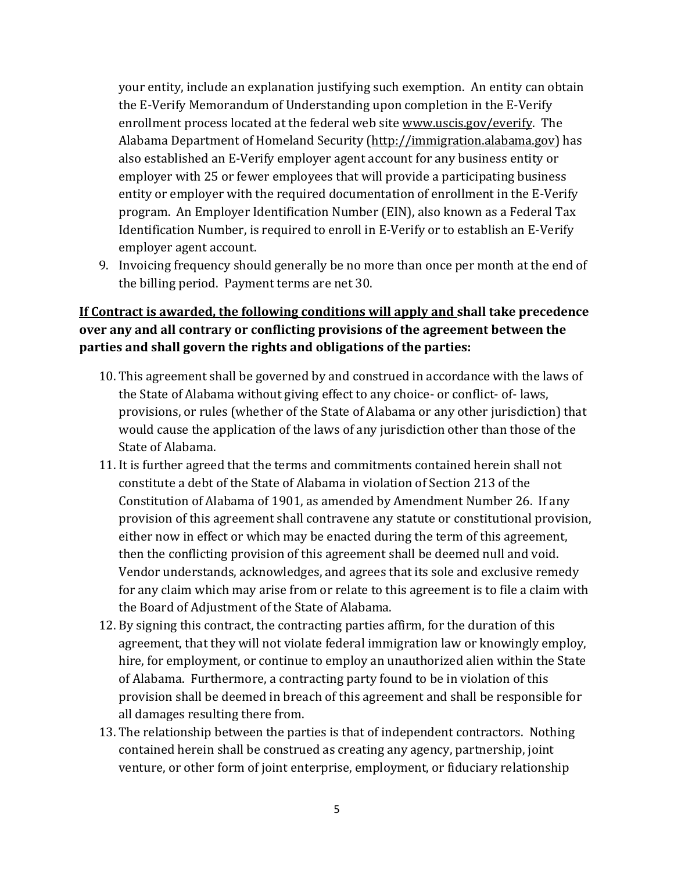your entity, include an explanation justifying such exemption. An entity can obtain the E-Verify Memorandum of Understanding upon completion in the E-Verify enrollment process located at the federal web site www.uscis.gov/everify. The Alabama Department of Homeland Security (http://immigration.alabama.gov) has also established an E-Verify employer agent account for any business entity or employer with 25 or fewer employees that will provide a participating business entity or employer with the required documentation of enrollment in the E-Verify program. An Employer Identification Number (EIN), also known as a Federal Tax Identification Number, is required to enroll in E-Verify or to establish an E-Verify employer agent account.

9. Invoicing frequency should generally be no more than once per month at the end of the billing period. Payment terms are net 30.

### **If Contract is awarded, the following conditions will apply and shall take precedence over any and all contrary or conflicting provisions of the agreement between the parties and shall govern the rights and obligations of the parties:**

- 10. This agreement shall be governed by and construed in accordance with the laws of the State of Alabama without giving effect to any choice- or conflict- of- laws, provisions, or rules (whether of the State of Alabama or any other jurisdiction) that would cause the application of the laws of any jurisdiction other than those of the State of Alabama.
- 11. It is further agreed that the terms and commitments contained herein shall not constitute a debt of the State of Alabama in violation of Section 213 of the Constitution of Alabama of 1901, as amended by Amendment Number 26. If any provision of this agreement shall contravene any statute or constitutional provision, either now in effect or which may be enacted during the term of this agreement, then the conflicting provision of this agreement shall be deemed null and void. Vendor understands, acknowledges, and agrees that its sole and exclusive remedy for any claim which may arise from or relate to this agreement is to file a claim with the Board of Adjustment of the State of Alabama.
- 12. By signing this contract, the contracting parties affirm, for the duration of this agreement, that they will not violate federal immigration law or knowingly employ, hire, for employment, or continue to employ an unauthorized alien within the State of Alabama. Furthermore, a contracting party found to be in violation of this provision shall be deemed in breach of this agreement and shall be responsible for all damages resulting there from.
- 13. The relationship between the parties is that of independent contractors. Nothing contained herein shall be construed as creating any agency, partnership, joint venture, or other form of joint enterprise, employment, or fiduciary relationship